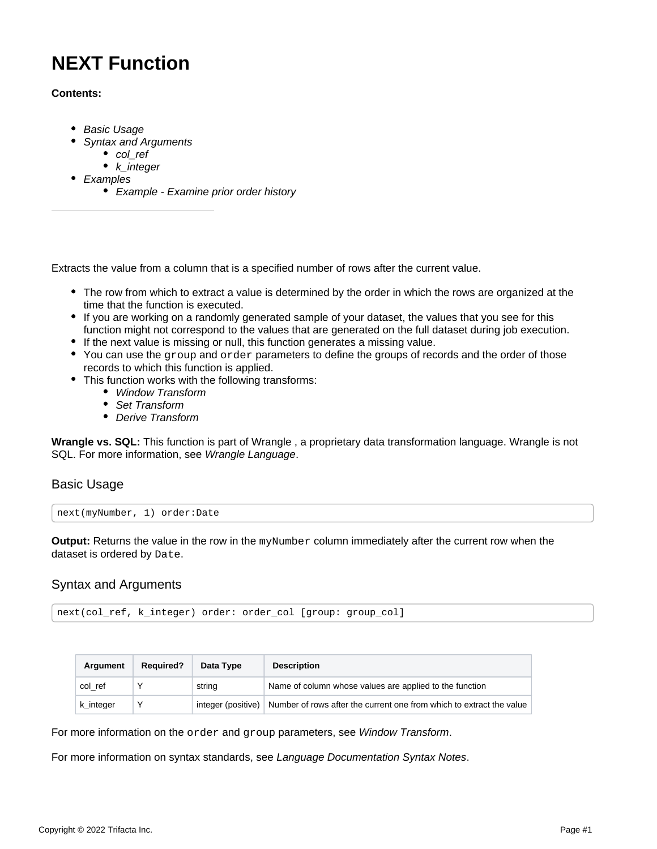# **NEXT Function**

# **Contents:**

- [Basic Usage](#page-0-0)
- [Syntax and Arguments](#page-0-1)
	- [col\\_ref](#page-1-0)
	- $k$  integer
- [Examples](#page-1-2)
	- [Example Examine prior order history](#page-1-3)

Extracts the value from a column that is a specified number of rows after the current value.

- The row from which to extract a value is determined by the order in which the rows are organized at the time that the function is executed.
- If you are working on a randomly generated sample of your dataset, the values that you see for this function might not correspond to the values that are generated on the full dataset during job execution.
- If the next value is missing or null, this function generates a missing value.
- You can use the group and order parameters to define the groups of records and the order of those records to which this function is applied.
- This function works with the following transforms:
	- [Window Transform](https://docs.trifacta.com/display/r087/Window+Transform)
	- [Set Transform](https://docs.trifacta.com/display/r087/Set+Transform)
	- [Derive Transform](https://docs.trifacta.com/display/r087/Derive+Transform)

**Wrangle vs. SQL:** This function is part of Wrangle , a proprietary data transformation language. Wrangle is not SQL. For more information, see [Wrangle Language](https://docs.trifacta.com/display/r087/Wrangle+Language).

# <span id="page-0-0"></span>Basic Usage

next(myNumber, 1) order:Date

**Output:** Returns the value in the row in the myNumber column immediately after the current row when the dataset is ordered by Date.

# <span id="page-0-1"></span>Syntax and Arguments

next(col\_ref, k\_integer) order: order\_col [group: group\_col]

| Argument  | <b>Required?</b> | Data Type              | <b>Description</b>                                                   |
|-----------|------------------|------------------------|----------------------------------------------------------------------|
| col ref   |                  | string                 | Name of column whose values are applied to the function              |
| k integer |                  | integer (positive) $ $ | Number of rows after the current one from which to extract the value |

For more information on the order and group parameters, see [Window Transform](https://docs.trifacta.com/display/r087/Window+Transform).

For more information on syntax standards, see [Language Documentation Syntax Notes](https://docs.trifacta.com/display/r087/Language+Documentation+Syntax+Notes).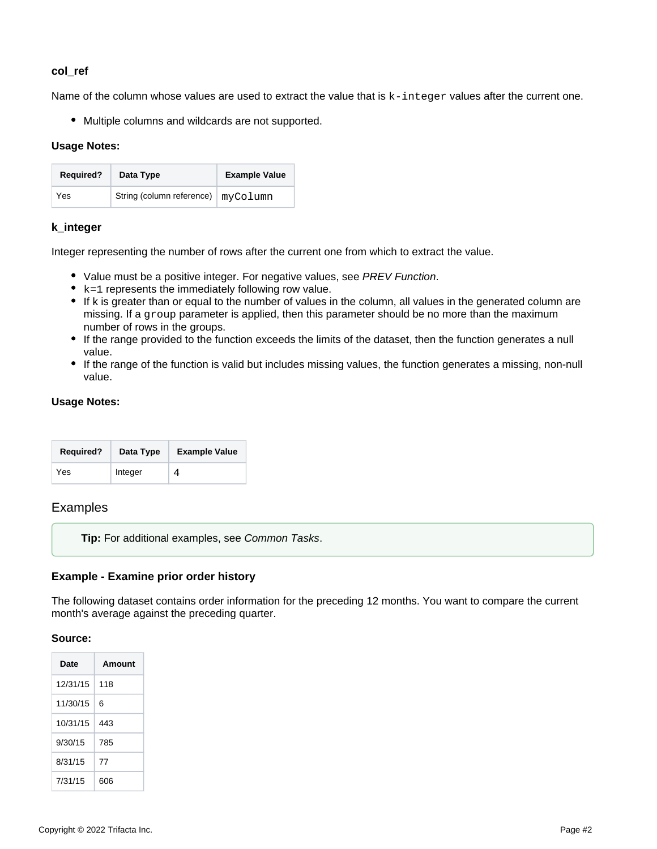# <span id="page-1-0"></span>**col\_ref**

Name of the column whose values are used to extract the value that is  $k$ -integer values after the current one.

Multiple columns and wildcards are not supported.

#### **Usage Notes:**

| <b>Required?</b> | Data Type                            | <b>Example Value</b> |
|------------------|--------------------------------------|----------------------|
| Yes              | String (column reference)   myColumn |                      |

# <span id="page-1-1"></span>**k\_integer**

Integer representing the number of rows after the current one from which to extract the value.

- Value must be a positive integer. For negative values, see [PREV Function](https://docs.trifacta.com/display/r087/PREV+Function).
- $\bullet$  k=1 represents the immediately following row value.
- If k is greater than or equal to the number of values in the column, all values in the generated column are missing. If a group parameter is applied, then this parameter should be no more than the maximum number of rows in the groups.
- If the range provided to the function exceeds the limits of the dataset, then the function generates a null value.
- If the range of the function is valid but includes missing values, the function generates a missing, non-null value.

#### **Usage Notes:**

| <b>Required?</b> | Data Type | <b>Example Value</b> |
|------------------|-----------|----------------------|
| Yes              | Integer   |                      |

# <span id="page-1-2"></span>Examples

**Tip:** For additional examples, see [Common Tasks](https://docs.trifacta.com/display/r087/Common+Tasks).

# <span id="page-1-3"></span>**Example - Examine prior order history**

The following dataset contains order information for the preceding 12 months. You want to compare the current month's average against the preceding quarter.

#### **Source:**

| Date     | Amount |
|----------|--------|
| 12/31/15 | 118    |
| 11/30/15 | 6      |
| 10/31/15 | 443    |
| 9/30/15  | 785    |
| 8/31/15  | 77     |
| 7/31/15  | 606    |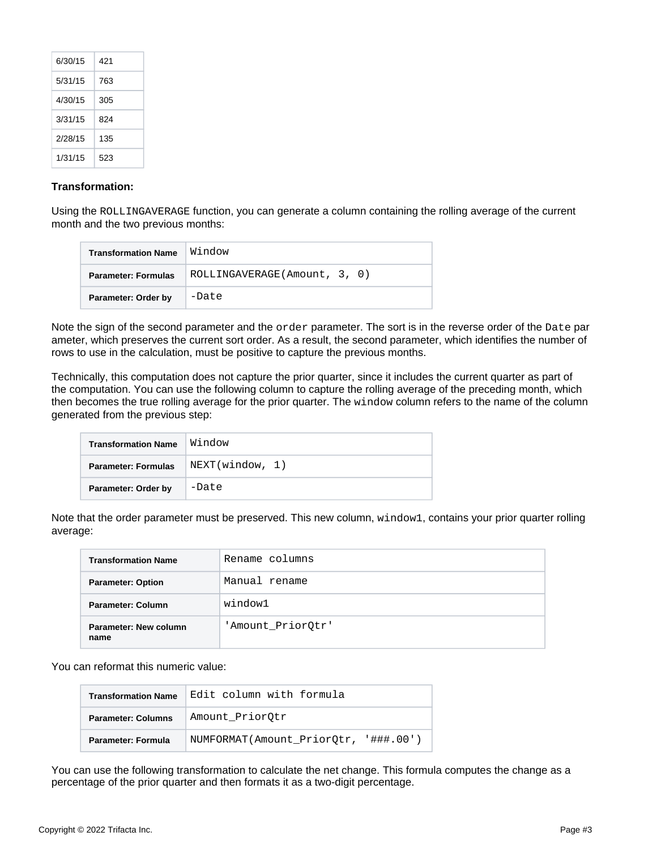| 6/30/15 | 421 |
|---------|-----|
| 5/31/15 | 763 |
| 4/30/15 | 305 |
| 3/31/15 | 824 |
| 2/28/15 | 135 |
| 1/31/15 | 523 |

#### **Transformation:**

Using the ROLLINGAVERAGE function, you can generate a column containing the rolling average of the current month and the two previous months:

| <b>Transformation Name</b> | Window                        |
|----------------------------|-------------------------------|
| <b>Parameter: Formulas</b> | ROLLINGAVERAGE (Amount, 3, 0) |
| Parameter: Order by        | -Date                         |

Note the sign of the second parameter and the order parameter. The sort is in the reverse order of the Date par ameter, which preserves the current sort order. As a result, the second parameter, which identifies the number of rows to use in the calculation, must be positive to capture the previous months.

Technically, this computation does not capture the prior quarter, since it includes the current quarter as part of the computation. You can use the following column to capture the rolling average of the preceding month, which then becomes the true rolling average for the prior quarter. The window column refers to the name of the column generated from the previous step:

| <b>Transformation Name</b> | Window          |
|----------------------------|-----------------|
| <b>Parameter: Formulas</b> | NEXT(window, 1) |
| Parameter: Order by        | -Date           |

Note that the order parameter must be preserved. This new column, window1, contains your prior quarter rolling average:

| <b>Transformation Name</b>    | Rename columns    |
|-------------------------------|-------------------|
| <b>Parameter: Option</b>      | Manual rename     |
| Parameter: Column             | window1           |
| Parameter: New column<br>name | 'Amount_PriorQtr' |

You can reformat this numeric value:

| <b>Transformation Name</b> | Edit column with formula             |
|----------------------------|--------------------------------------|
| <b>Parameter: Columns</b>  | Amount PriorOtr                      |
| Parameter: Formula         | NUMFORMAT(Amount PriorOtr, '###.00') |

You can use the following transformation to calculate the net change. This formula computes the change as a percentage of the prior quarter and then formats it as a two-digit percentage.